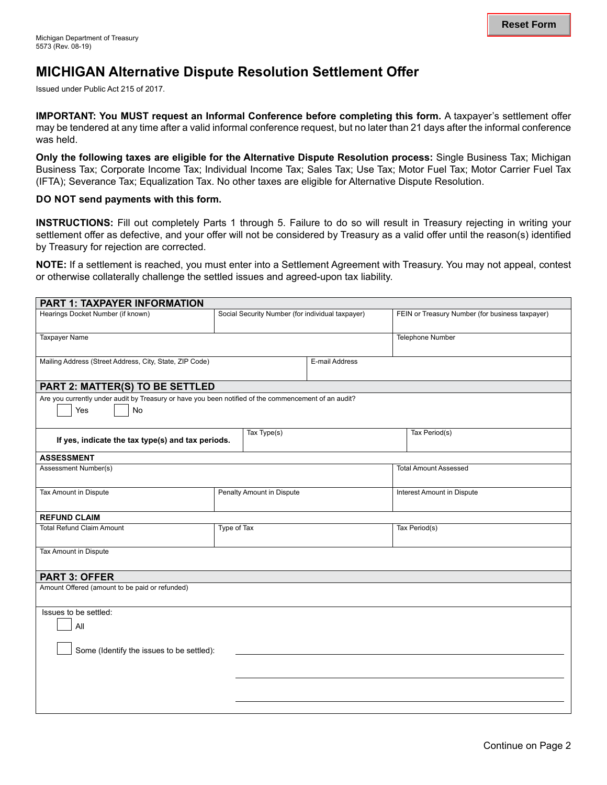# **MICHIGAN Alternative Dispute Resolution Settlement Offer**

Issued under Public Act 215 of 2017.

**IMPORTANT: You MUST request an Informal Conference before completing this form.** A taxpayer's settlement offer may be tendered at any time after a valid informal conference request, but no later than 21 days after the informal conference was held.

**Only the following taxes are eligible for the Alternative Dispute Resolution process:** Single Business Tax; Michigan Business Tax; Corporate Income Tax; Individual Income Tax; Sales Tax; Use Tax; Motor Fuel Tax; Motor Carrier Fuel Tax (IFTA); Severance Tax; Equalization Tax. No other taxes are eligible for Alternative Dispute Resolution.

#### **DO NOT send payments with this form.**

**INSTRUCTIONS:** Fill out completely Parts 1 through 5. Failure to do so will result in Treasury rejecting in writing your settlement offer as defective, and your offer will not be considered by Treasury as a valid offer until the reason(s) identified by Treasury for rejection are corrected.

**NOTE:** If a settlement is reached, you must enter into a Settlement Agreement with Treasury. You may not appeal, contest or otherwise collaterally challenge the settled issues and agreed-upon tax liability.

| <b>PART 1: TAXPAYER INFORMATION</b>                                                                               |                           |                                                  |                |                              |                                                 |  |  |
|-------------------------------------------------------------------------------------------------------------------|---------------------------|--------------------------------------------------|----------------|------------------------------|-------------------------------------------------|--|--|
| Hearings Docket Number (if known)                                                                                 |                           | Social Security Number (for individual taxpayer) |                |                              | FEIN or Treasury Number (for business taxpayer) |  |  |
| <b>Taxpayer Name</b>                                                                                              |                           |                                                  |                | Telephone Number             |                                                 |  |  |
| Mailing Address (Street Address, City, State, ZIP Code)                                                           |                           |                                                  | E-mail Address |                              |                                                 |  |  |
| PART 2: MATTER(S) TO BE SETTLED                                                                                   |                           |                                                  |                |                              |                                                 |  |  |
| Are you currently under audit by Treasury or have you been notified of the commencement of an audit?<br>Yes<br>No |                           |                                                  |                |                              |                                                 |  |  |
| If yes, indicate the tax type(s) and tax periods.                                                                 |                           | $\overline{\text{Tax Type}}(s)$                  |                |                              | Tax Period(s)                                   |  |  |
| <b>ASSESSMENT</b>                                                                                                 |                           |                                                  |                |                              |                                                 |  |  |
| Assessment Number(s)                                                                                              |                           |                                                  |                | <b>Total Amount Assessed</b> |                                                 |  |  |
| Tax Amount in Dispute                                                                                             | Penalty Amount in Dispute |                                                  |                |                              | Interest Amount in Dispute                      |  |  |
| <b>REFUND CLAIM</b>                                                                                               |                           |                                                  |                |                              |                                                 |  |  |
| <b>Total Refund Claim Amount</b>                                                                                  |                           | Type of Tax                                      |                |                              | Tax Period(s)                                   |  |  |
| Tax Amount in Dispute                                                                                             |                           |                                                  |                |                              |                                                 |  |  |
| <b>PART 3: OFFER</b>                                                                                              |                           |                                                  |                |                              |                                                 |  |  |
| Amount Offered (amount to be paid or refunded)                                                                    |                           |                                                  |                |                              |                                                 |  |  |
| Issues to be settled:<br>All                                                                                      |                           |                                                  |                |                              |                                                 |  |  |
| Some (Identify the issues to be settled):                                                                         |                           |                                                  |                |                              |                                                 |  |  |
|                                                                                                                   |                           |                                                  |                |                              |                                                 |  |  |
|                                                                                                                   |                           |                                                  |                |                              |                                                 |  |  |
|                                                                                                                   |                           |                                                  |                |                              |                                                 |  |  |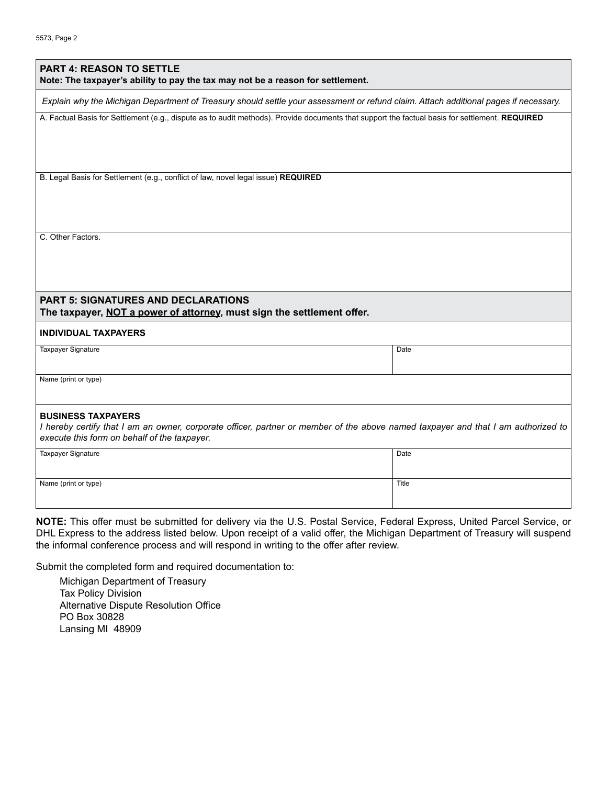| <b>PART 4: REASON TO SETTLE</b><br>Note: The taxpayer's ability to pay the tax may not be a reason for settlement.                                                                                             |       |
|----------------------------------------------------------------------------------------------------------------------------------------------------------------------------------------------------------------|-------|
| Explain why the Michigan Department of Treasury should settle your assessment or refund claim. Attach additional pages if necessary.                                                                           |       |
| A. Factual Basis for Settlement (e.g., dispute as to audit methods). Provide documents that support the factual basis for settlement. REQUIRED                                                                 |       |
| B. Legal Basis for Settlement (e.g., conflict of law, novel legal issue) REQUIRED                                                                                                                              |       |
|                                                                                                                                                                                                                |       |
| C. Other Factors.                                                                                                                                                                                              |       |
|                                                                                                                                                                                                                |       |
| <b>PART 5: SIGNATURES AND DECLARATIONS</b><br>The taxpayer, NOT a power of attorney, must sign the settlement offer.                                                                                           |       |
| <b>INDIVIDUAL TAXPAYERS</b>                                                                                                                                                                                    |       |
| Taxpayer Signature                                                                                                                                                                                             | Date  |
| Name (print or type)                                                                                                                                                                                           |       |
| <b>BUSINESS TAXPAYERS</b><br>I hereby certify that I am an owner, corporate officer, partner or member of the above named taxpayer and that I am authorized to<br>execute this form on behalf of the taxpayer. |       |
| Taxpayer Signature                                                                                                                                                                                             | Date  |
| Name (print or type)                                                                                                                                                                                           | Title |

**NOTE:** This offer must be submitted for delivery via the U.S. Postal Service, Federal Express, United Parcel Service, or DHL Express to the address listed below. Upon receipt of a valid offer, the Michigan Department of Treasury will suspend the informal conference process and will respond in writing to the offer after review.

Submit the completed form and required documentation to:

Michigan Department of Treasury Tax Policy Division Alternative Dispute Resolution Office PO Box 30828 Lansing MI 48909